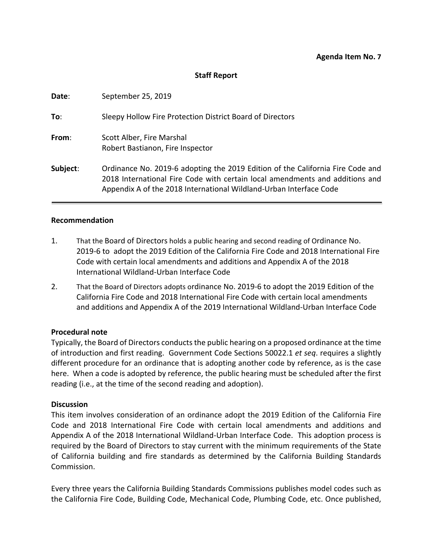## **Staff Report**

| Date:    | September 25, 2019                                                                                                                                                                                                                   |
|----------|--------------------------------------------------------------------------------------------------------------------------------------------------------------------------------------------------------------------------------------|
| To:      | Sleepy Hollow Fire Protection District Board of Directors                                                                                                                                                                            |
| From:    | Scott Alber, Fire Marshal<br>Robert Bastianon, Fire Inspector                                                                                                                                                                        |
| Subject: | Ordinance No. 2019-6 adopting the 2019 Edition of the California Fire Code and<br>2018 International Fire Code with certain local amendments and additions and<br>Appendix A of the 2018 International Wildland-Urban Interface Code |

#### **Recommendation**

- 1. That the Board of Directors holds a public hearing and second reading of Ordinance No. 2019-6 to adopt the 2019 Edition of the California Fire Code and 2018 International Fire Code with certain local amendments and additions and Appendix A of the 2018 International Wildland-Urban Interface Code
- 2. That the Board of Directors adopts ordinance No. 2019-6 to adopt the 2019 Edition of the California Fire Code and 2018 International Fire Code with certain local amendments and additions and Appendix A of the 2019 International Wildland-Urban Interface Code

### **Procedural note**

Typically, the Board of Directors conducts the public hearing on a proposed ordinance at the time of introduction and first reading. Government Code Sections 50022.1 *et seq*. requires a slightly different procedure for an ordinance that is adopting another code by reference, as is the case here. When a code is adopted by reference, the public hearing must be scheduled after the first reading (i.e., at the time of the second reading and adoption).

### **Discussion**

This item involves consideration of an ordinance adopt the 2019 Edition of the California Fire Code and 2018 International Fire Code with certain local amendments and additions and Appendix A of the 2018 International Wildland-Urban Interface Code. This adoption process is required by the Board of Directors to stay current with the minimum requirements of the State of California building and fire standards as determined by the California Building Standards Commission.

Every three years the California Building Standards Commissions publishes model codes such as the California Fire Code, Building Code, Mechanical Code, Plumbing Code, etc. Once published,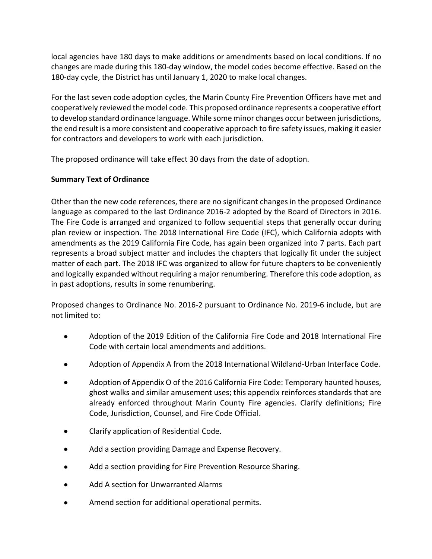local agencies have 180 days to make additions or amendments based on local conditions. If no changes are made during this 180-day window, the model codes become effective. Based on the 180-day cycle, the District has until January 1, 2020 to make local changes.

For the last seven code adoption cycles, the Marin County Fire Prevention Officers have met and cooperatively reviewed the model code. This proposed ordinance represents a cooperative effort to develop standard ordinance language. While some minor changes occur between jurisdictions, the end result is a more consistent and cooperative approach to fire safety issues, making it easier for contractors and developers to work with each jurisdiction.

The proposed ordinance will take effect 30 days from the date of adoption.

# **Summary Text of Ordinance**

Other than the new code references, there are no significant changes in the proposed Ordinance language as compared to the last Ordinance 2016-2 adopted by the Board of Directors in 2016. The Fire Code is arranged and organized to follow sequential steps that generally occur during plan review or inspection. The 2018 International Fire Code (IFC), which California adopts with amendments as the 2019 California Fire Code, has again been organized into 7 parts. Each part represents a broad subject matter and includes the chapters that logically fit under the subject matter of each part. The 2018 IFC was organized to allow for future chapters to be conveniently and logically expanded without requiring a major renumbering. Therefore this code adoption, as in past adoptions, results in some renumbering.

Proposed changes to Ordinance No. 2016-2 pursuant to Ordinance No. 2019-6 include, but are not limited to:

- Adoption of the 2019 Edition of the California Fire Code and 2018 International Fire Code with certain local amendments and additions.
- Adoption of Appendix A from the 2018 International Wildland-Urban Interface Code.
- Adoption of Appendix O of the 2016 California Fire Code: Temporary haunted houses, ghost walks and similar amusement uses; this appendix reinforces standards that are already enforced throughout Marin County Fire agencies. Clarify definitions; Fire Code, Jurisdiction, Counsel, and Fire Code Official.
- Clarify application of Residential Code.
- Add a section providing Damage and Expense Recovery.
- Add a section providing for Fire Prevention Resource Sharing.
- Add A section for Unwarranted Alarms
- Amend section for additional operational permits.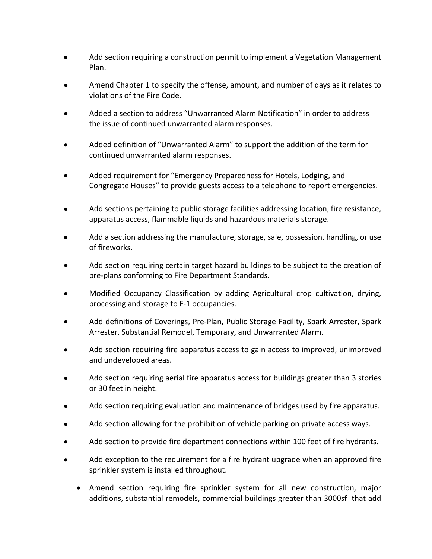- Add section requiring a construction permit to implement a Vegetation Management Plan.
- Amend Chapter 1 to specify the offense, amount, and number of days as it relates to violations of the Fire Code.
- Added a section to address "Unwarranted Alarm Notification" in order to address the issue of continued unwarranted alarm responses.
- Added definition of "Unwarranted Alarm" to support the addition of the term for continued unwarranted alarm responses.
- Added requirement for "Emergency Preparedness for Hotels, Lodging, and Congregate Houses" to provide guests access to a telephone to report emergencies.
- Add sections pertaining to public storage facilities addressing location, fire resistance, apparatus access, flammable liquids and hazardous materials storage.
- Add a section addressing the manufacture, storage, sale, possession, handling, or use of fireworks.
- Add section requiring certain target hazard buildings to be subject to the creation of pre-plans conforming to Fire Department Standards.
- Modified Occupancy Classification by adding Agricultural crop cultivation, drying, processing and storage to F-1 occupancies.
- Add definitions of Coverings, Pre-Plan, Public Storage Facility, Spark Arrester, Spark Arrester, Substantial Remodel, Temporary, and Unwarranted Alarm.
- Add section requiring fire apparatus access to gain access to improved, unimproved and undeveloped areas.
- Add section requiring aerial fire apparatus access for buildings greater than 3 stories or 30 feet in height.
- Add section requiring evaluation and maintenance of bridges used by fire apparatus.
- Add section allowing for the prohibition of vehicle parking on private access ways.
- Add section to provide fire department connections within 100 feet of fire hydrants.
- Add exception to the requirement for a fire hydrant upgrade when an approved fire sprinkler system is installed throughout.
	- Amend section requiring fire sprinkler system for all new construction, major additions, substantial remodels, commercial buildings greater than 3000sf that add